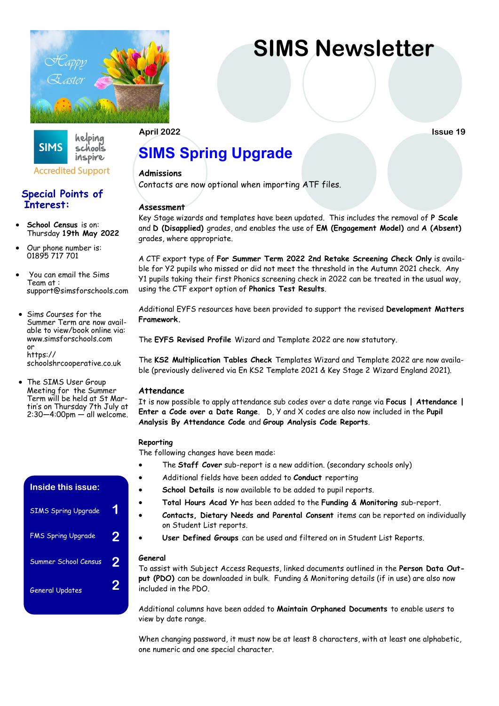

**SIMS Newsletter** 

#### helping **SIMS** schools inspire

# **Accredited Support**

# **Special Points of Interest:**

- **School Census** is on: Thursday **19th May 2022**
- Our phone number is: 01895 717 701
- You can email the Sims Team at : support@simsforschools.com
- Sims Courses for the Summer Term are now available to view/book online via: www.simsforschools.com or https:// schoolshrcooperative.co.uk
- The SIMS User Group Meeting for the Summer Term will be held at St Martin's on Thursday 7th July at 2:30—4:00pm — all welcome.

# **Inside this issue:** SIMS Spring Upgrade **1** FMS Spring Upgrade **2** Summer School Census **2** General Updates **2**

# **April 2022 Issue 19**

# **SIMS Spring Upgrade**

### **Admissions**

Contacts are now optional when importing ATF files.

## **Assessment**

Key Stage wizards and templates have been updated. This includes the removal of **P Scale** and **D (Disapplied)** grades, and enables the use of **EM (Engagement Model)** and **A (Absent)**  grades, where appropriate.

A CTF export type of **For Summer Term 2022 2nd Retake Screening Check Only** is available for Y2 pupils who missed or did not meet the threshold in the Autumn 2021 check. Any Y1 pupils taking their first Phonics screening check in 2022 can be treated in the usual way, using the CTF export option of **Phonics Test Results**.

Additional EYFS resources have been provided to support the revised **Development Matters Framework.**

The **EYFS Revised Profile** Wizard and Template 2022 are now statutory.

The **KS2 Multiplication Tables Check** Templates Wizard and Template 2022 are now available (previously delivered via En KS2 Template 2021 & Key Stage 2 Wizard England 2021).

## **Attendance**

It is now possible to apply attendance sub codes over a date range via **Focus | Attendance | Enter a Code over a Date Range**. D, Y and X codes are also now included in the **Pupil Analysis By Attendance Code** and **Group Analysis Code Reports**.

### **Reporting**

The following changes have been made:

- The **Staff Cover** sub-report is a new addition. (secondary schools only)
- Additional fields have been added to **Conduct** reporting
- **School Details** is now available to be added to pupil reports.
- **Total Hours Acad Yr** has been added to the **Funding & Monitoring** sub-report.
- **Contacts, Dietary Needs and Parental Consent** items can be reported on individually on Student List reports.
- **User Defined Groups** can be used and filtered on in Student List Reports.

#### **General**

To assist with Subject Access Requests, linked documents outlined in the **Person Data Output (PDO)** can be downloaded in bulk. Funding & Monitoring details (if in use) are also now included in the PDO.

Additional columns have been added to **Maintain Orphaned Documents** to enable users to view by date range.

When changing password, it must now be at least 8 characters, with at least one alphabetic, one numeric and one special character.